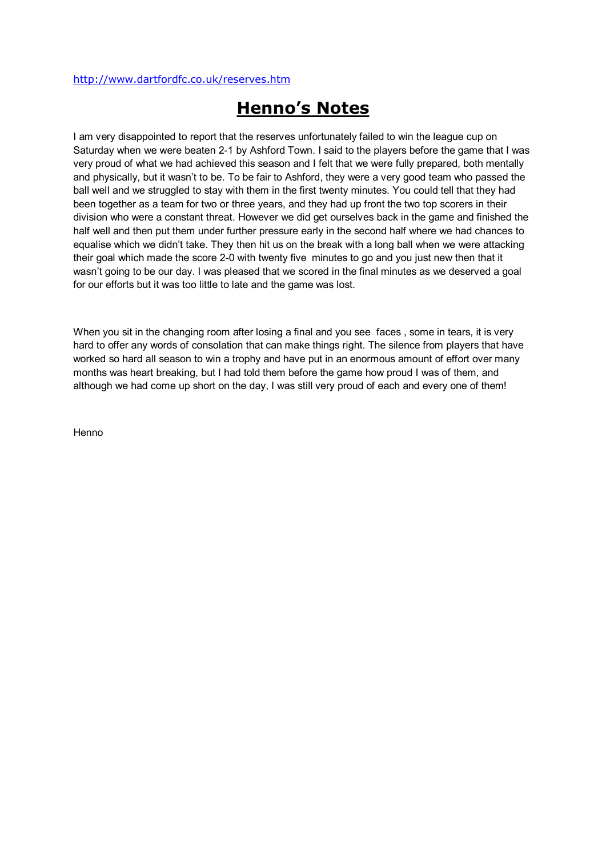#### <http://www.dartfordfc.co.uk/reserves.htm>

# **Henno's Notes**

I am very disappointed to report that the reserves unfortunately failed to win the league cup on Saturday when we were beaten 2-1 by Ashford Town. I said to the players before the game that I was very proud of what we had achieved this season and I felt that we were fully prepared, both mentally and physically, but it wasn't to be. To be fair to Ashford, they were a very good team who passed the ball well and we struggled to stay with them in the first twenty minutes. You could tell that they had been together as a team for two or three years, and they had up front the two top scorers in their division who were a constant threat. However we did get ourselves back in the game and finished the half well and then put them under further pressure early in the second half where we had chances to equalise which we didn't take. They then hit us on the break with a long ball when we were attacking their goal which made the score 2-0 with twenty five minutes to go and you just new then that it wasn't going to be our day. I was pleased that we scored in the final minutes as we deserved a goal for our efforts but it was too little to late and the game was lost.

When you sit in the changing room after losing a final and you see faces, some in tears, it is very hard to offer any words of consolation that can make things right. The silence from players that have worked so hard all season to win a trophy and have put in an enormous amount of effort over many months was heart breaking, but I had told them before the game how proud I was of them, and although we had come up short on the day, I was still very proud of each and every one of them!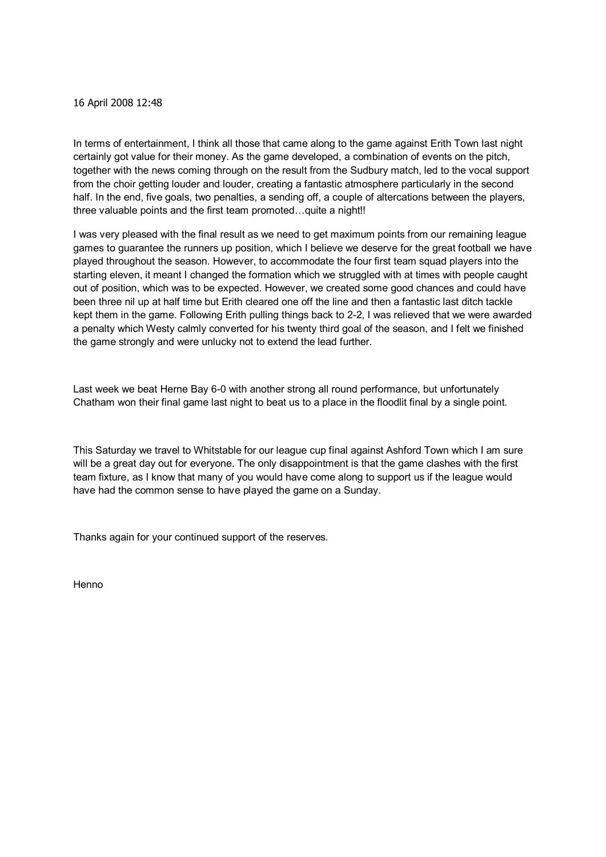#### 16 April 2008 12:48

In terms of entertainment, I think all those that came along to the game against Erith Town last night certainly got value for their money. As the game developed, a combination of events on the pitch, together with the news coming through on the result from the Sudbury match, led to the vocal support from the choir getting louder and louder, creating a fantastic atmosphere particularly in the second half. In the end, five goals, two penalties, a sending off, a couple of altercations between the players, three valuable points and the first team promoted…quite a night!!

I was very pleased with the final result as we need to get maximum points from our remaining league games to guarantee the runners up position, which I believe we deserve for the great football we have played throughout the season. However, to accommodate the four first team squad players into the starting eleven, it meant I changed the formation which we struggled with at times with people caught out of position, which was to be expected. However, we created some good chances and could have been three nil up at half time but Erith cleared one off the line and then a fantastic last ditch tackle kept them in the game. Following Erith pulling things back to 22, I was relieved that we were awarded a penalty which Westy calmly converted for his twenty third goal of the season, and I felt we finished the game strongly and were unlucky not to extend the lead further.

Last week we beat Herne Bay 6-0 with another strong all round performance, but unfortunately Chatham won their final game last night to beat us to a place in the floodlit final by a single point.

This Saturday we travel to Whitstable for our league cup final against Ashford Town which I am sure will be a great day out for everyone. The only disappointment is that the game clashes with the first team fixture, as I know that many of you would have come along to support us if the league would have had the common sense to have played the game on a Sunday.

Thanks again for your continued support of the reserves.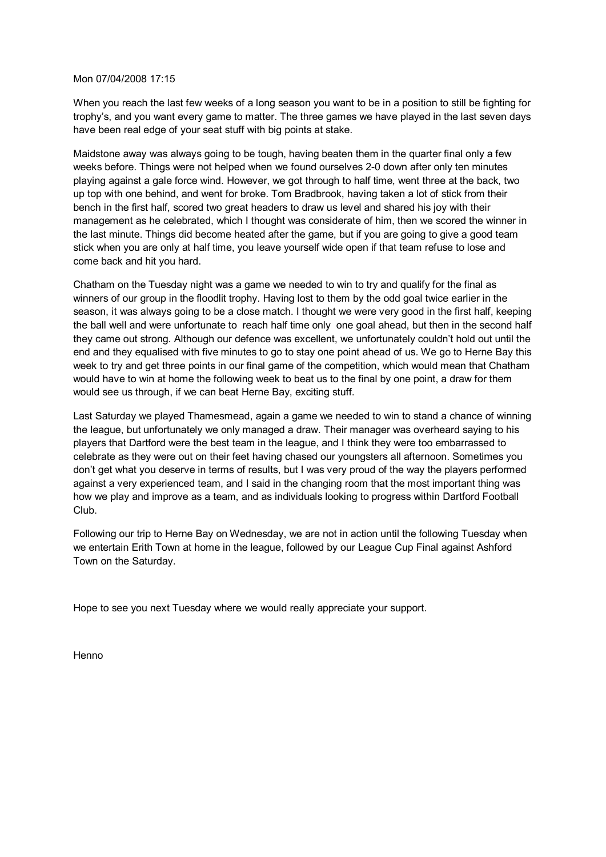#### Mon 07/04/2008 17:15

When you reach the last few weeks of a long season you want to be in a position to still be fighting for trophy's, and you want every game to matter. The three games we have played in the last seven days have been real edge of your seat stuff with big points at stake.

Maidstone away was always going to be tough, having beaten them in the quarter final only a few weeks before. Things were not helped when we found ourselves 2-0 down after only ten minutes playing against a gale force wind. However, we got through to half time, went three at the back, two up top with one behind, and went for broke. Tom Bradbrook, having taken a lot of stick from their bench in the first half, scored two great headers to draw us level and shared his joy with their management as he celebrated, which I thought was considerate of him, then we scored the winner in the last minute. Things did become heated after the game, but if you are going to give a good team stick when you are only at half time, you leave yourself wide open if that team refuse to lose and come back and hit you hard.

Chatham on the Tuesday night was a game we needed to win to try and qualify for the final as winners of our group in the floodlit trophy. Having lost to them by the odd goal twice earlier in the season, it was always going to be a close match. I thought we were very good in the first half, keeping the ball well and were unfortunate to reach half time only one goal ahead, but then in the second half they came out strong. Although our defence was excellent, we unfortunately couldn't hold out until the end and they equalised with five minutes to go to stay one point ahead of us. We go to Herne Bay this week to try and get three points in our final game of the competition, which would mean that Chatham would have to win at home the following week to beat us to the final by one point, a draw for them would see us through, if we can beat Herne Bay, exciting stuff.

Last Saturday we played Thamesmead, again a game we needed to win to stand a chance of winning the league, but unfortunately we only managed a draw. Their manager was overheard saying to his players that Dartford were the best team in the league, and I think they were too embarrassed to celebrate as they were out on their feet having chased our youngsters all afternoon. Sometimes you don't get what you deserve in terms of results, but I was very proud of the way the players performed against a very experienced team, and I said in the changing room that the most important thing was how we play and improve as a team, and as individuals looking to progress within Dartford Football Club.

Following our trip to Herne Bay on Wednesday, we are not in action until the following Tuesday when we entertain Erith Town at home in the league, followed by our League Cup Final against Ashford Town on the Saturday.

Hope to see you next Tuesday where we would really appreciate your support.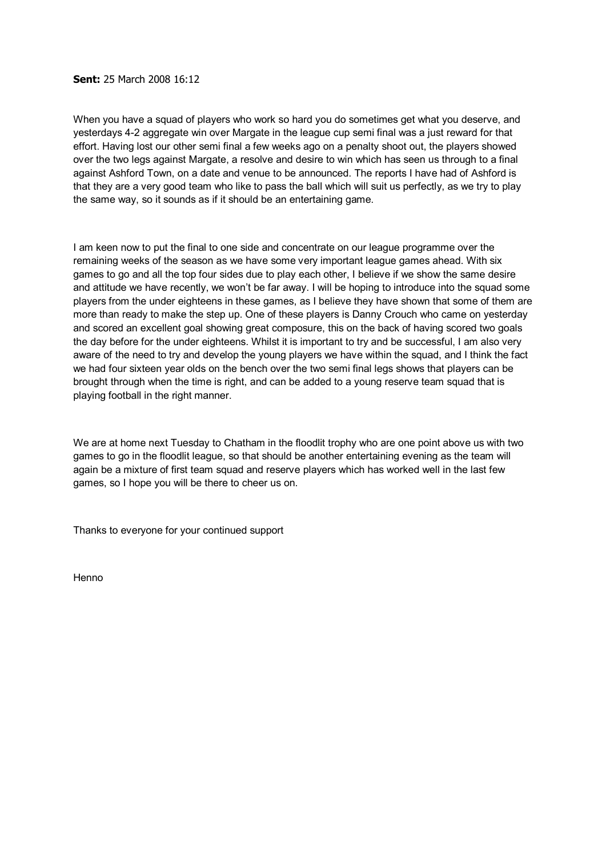#### **Sent:** 25 March 2008 16:12

When you have a squad of players who work so hard you do sometimes get what you deserve, and yesterdays 42 aggregate win over Margate in the league cup semi final was a just reward for that effort. Having lost our other semi final a few weeks ago on a penalty shoot out, the players showed over the two legs against Margate, a resolve and desire to win which has seen us through to a final against Ashford Town, on a date and venue to be announced. The reports I have had of Ashford is that they are a very good team who like to pass the ball which will suit us perfectly, as we try to play the same way, so it sounds as if it should be an entertaining game.

I am keen now to put the final to one side and concentrate on our league programme over the remaining weeks of the season as we have some very important league games ahead. With six games to go and all the top four sides due to play each other, I believe if we show the same desire and attitude we have recently, we won't be far away. I will be hoping to introduce into the squad some players from the under eighteens in these games, as I believe they have shown that some of them are more than ready to make the step up. One of these players is Danny Crouch who came on yesterday and scored an excellent goal showing great composure, this on the back of having scored two goals the day before for the under eighteens. Whilst it is important to try and be successful, I am also very aware of the need to try and develop the young players we have within the squad, and I think the fact we had four sixteen year olds on the bench over the two semi final legs shows that players can be brought through when the time is right, and can be added to a young reserve team squad that is playing football in the right manner.

We are at home next Tuesday to Chatham in the floodlit trophy who are one point above us with two games to go in the floodlit league, so that should be another entertaining evening as the team will again be a mixture of first team squad and reserve players which has worked well in the last few games, so I hope you will be there to cheer us on.

Thanks to everyone for your continued support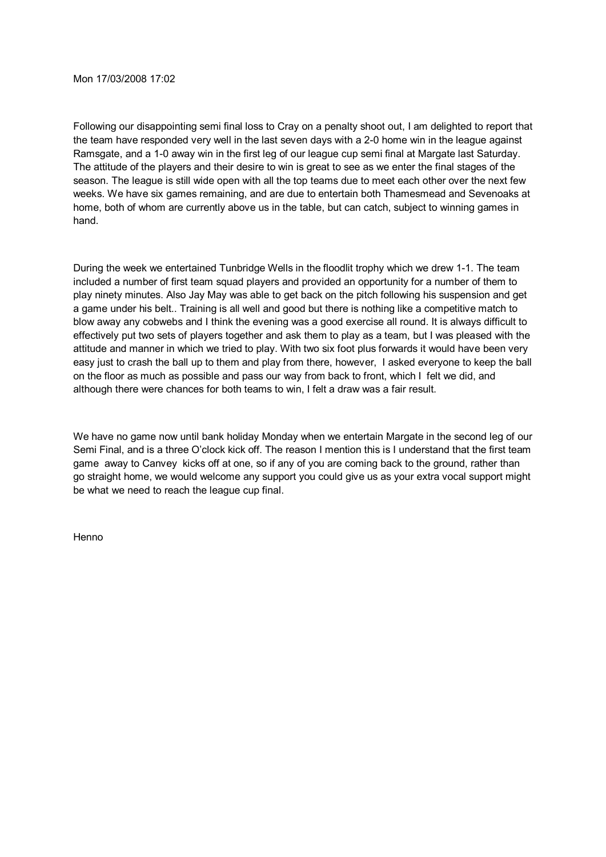Following our disappointing semi final loss to Cray on a penalty shoot out, I am delighted to report that the team have responded very well in the last seven days with a 2-0 home win in the league against Ramsgate, and a 1-0 away win in the first leg of our league cup semi final at Margate last Saturday. The attitude of the players and their desire to win is great to see as we enter the final stages of the season. The league is still wide open with all the top teams due to meet each other over the next few weeks. We have six games remaining, and are due to entertain both Thamesmead and Sevenoaks at home, both of whom are currently above us in the table, but can catch, subject to winning games in hand.

During the week we entertained Tunbridge Wells in the floodlit trophy which we drew 1-1. The team included a number of first team squad players and provided an opportunity for a number of them to play ninety minutes. Also Jay May was able to get back on the pitch following his suspension and get a game under his belt.. Training is all well and good but there is nothing like a competitive match to blow away any cobwebs and I think the evening was a good exercise all round. It is always difficult to effectively put two sets of players together and ask them to play as a team, but I was pleased with the attitude and manner in which we tried to play. With two six foot plus forwards it would have been very easy just to crash the ball up to them and play from there, however, I asked everyone to keep the ball on the floor as much as possible and pass our way from back to front, which I felt we did, and although there were chances for both teams to win, I felt a draw was a fair result.

We have no game now until bank holiday Monday when we entertain Margate in the second leg of our Semi Final, and is a three O'clock kick off. The reason I mention this is I understand that the first team game away to Canvey kicks off at one, so if any of you are coming back to the ground, rather than go straight home, we would welcome any support you could give us as your extra vocal support might be what we need to reach the league cup final.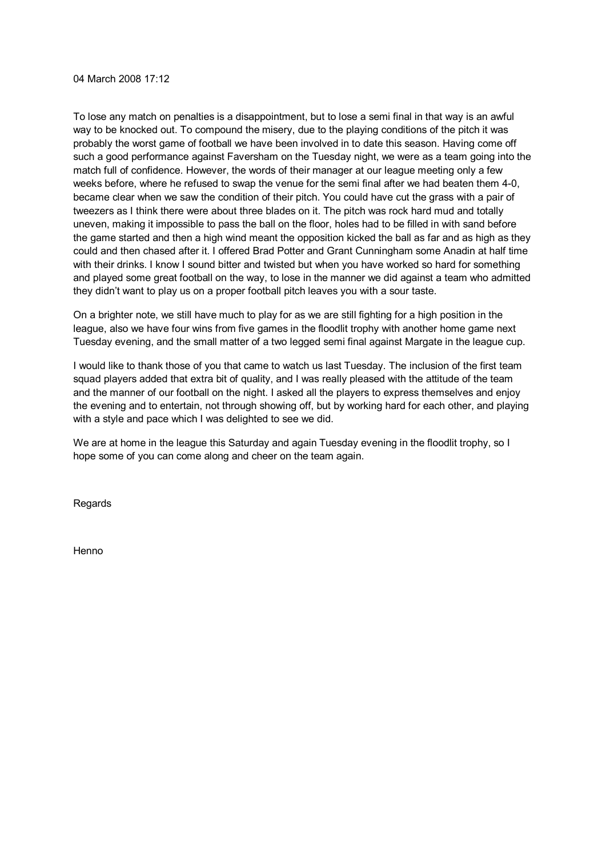04 March 2008 17:12

To lose any match on penalties is a disappointment, but to lose a semi final in that way is an awful way to be knocked out. To compound the misery, due to the playing conditions of the pitch it was probably the worst game of football we have been involved in to date this season. Having come off such a good performance against Faversham on the Tuesday night, we were as a team going into the match full of confidence. However, the words of their manager at our league meeting only a few weeks before, where he refused to swap the venue for the semi final after we had beaten them 4-0, became clear when we saw the condition of their pitch. You could have cut the grass with a pair of tweezers as I think there were about three blades on it. The pitch was rock hard mud and totally uneven, making it impossible to pass the ball on the floor, holes had to be filled in with sand before the game started and then a high wind meant the opposition kicked the ball as far and as high as they could and then chased after it. I offered Brad Potter and Grant Cunningham some Anadin at half time with their drinks. I know I sound bitter and twisted but when you have worked so hard for something and played some great football on the way, to lose in the manner we did against a team who admitted they didn't want to play us on a proper football pitch leaves you with a sour taste.

On a brighter note, we still have much to play for as we are still fighting for a high position in the league, also we have four wins from five games in the floodlit trophy with another home game next Tuesday evening, and the small matter of a two legged semi final against Margate in the league cup.

I would like to thank those of you that came to watch us last Tuesday. The inclusion of the first team squad players added that extra bit of quality, and I was really pleased with the attitude of the team and the manner of our football on the night. I asked all the players to express themselves and enjoy the evening and to entertain, not through showing off, but by working hard for each other, and playing with a style and pace which I was delighted to see we did.

We are at home in the league this Saturday and again Tuesday evening in the floodlit trophy, so I hope some of you can come along and cheer on the team again.

Regards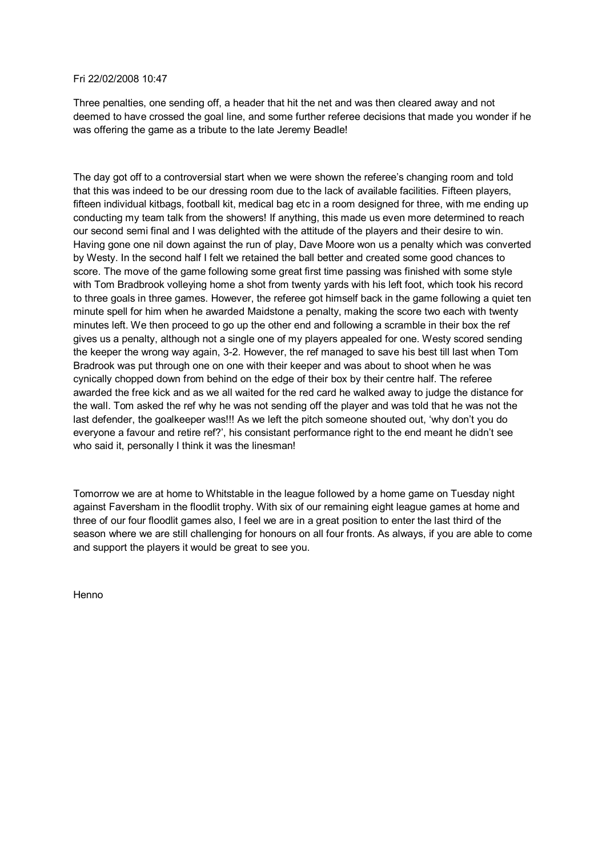#### Fri 22/02/2008 10:47

Three penalties, one sending off, a header that hit the net and was then cleared away and not deemed to have crossed the goal line, and some further referee decisions that made you wonder if he was offering the game as a tribute to the late Jeremy Beadle!

The day got off to a controversial start when we were shown the referee's changing room and told that this was indeed to be our dressing room due to the lack of available facilities. Fifteen players, fifteen individual kitbags, football kit, medical bag etc in a room designed for three, with me ending up conducting my team talk from the showers! If anything, this made us even more determined to reach our second semi final and I was delighted with the attitude of the players and their desire to win. Having gone one nil down against the run of play, Dave Moore won us a penalty which was converted by Westy. In the second half I felt we retained the ball better and created some good chances to score. The move of the game following some great first time passing was finished with some style with Tom Bradbrook volleying home a shot from twenty yards with his left foot, which took his record to three goals in three games. However, the referee got himself back in the game following a quiet ten minute spell for him when he awarded Maidstone a penalty, making the score two each with twenty minutes left. We then proceed to go up the other end and following a scramble in their box the ref gives us a penalty, although not a single one of my players appealed for one. Westy scored sending the keeper the wrong way again, 32. However, the ref managed to save his best till last when Tom Bradrook was put through one on one with their keeper and was about to shoot when he was cynically chopped down from behind on the edge of their box by their centre half. The referee awarded the free kick and as we all waited for the red card he walked away to judge the distance for the wall. Tom asked the ref why he was not sending off the player and was told that he was not the last defender, the goalkeeper was!!! As we left the pitch someone shouted out, 'why don't you do everyone a favour and retire ref?', his consistant performance right to the end meant he didn't see who said it, personally I think it was the linesman!

Tomorrow we are at home to Whitstable in the league followed by a home game on Tuesday night against Faversham in the floodlit trophy. With six of our remaining eight league games at home and three of our four floodlit games also, I feel we are in a great position to enter the last third of the season where we are still challenging for honours on all four fronts. As always, if you are able to come and support the players itwould be great to see you.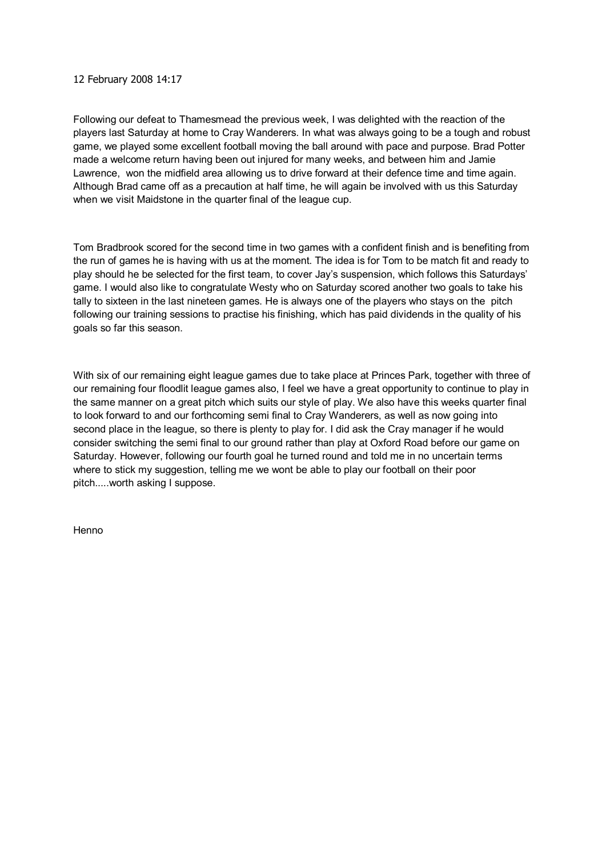#### 12 February 2008 14:17

Following our defeat to Thamesmead the previous week, I was delighted with the reaction of the players last Saturday at home to Cray Wanderers. In what was always going to be a tough and robust game, we played some excellent football moving the ball around with pace and purpose. Brad Potter made a welcome return having been out injured for many weeks, and between him and Jamie Lawrence, won the midfield area allowing us to drive forward at their defence time and time again. Although Brad came off as a precaution at half time, he will again be involved with us this Saturday when we visit Maidstone in the quarter final of the league cup.

Tom Bradbrook scored for the second time in two games with a confident finish and is benefiting from the run of games he is having with us at the moment. The idea is for Tom to be match fit and ready to play should he be selected for the first team, to cover Jay's suspension, which follows this Saturdays' game. I would also like to congratulate Westy who on Saturday scored another two goals to take his tally to sixteen in the last nineteen games. He is always one of the players who stays on the pitch following our training sessions to practise his finishing, which has paid dividends in the quality of his goals so far this season.

With six of our remaining eight league games due to take place at Princes Park, together with three of our remaining four floodlit league games also, I feel we have a great opportunity to continue to play in the same manner on a great pitch which suits our style of play. We also have this weeks quarter final to look forward to and our forthcoming semi final to Cray Wanderers, as well as now going into second place in the league, so there is plenty to play for. I did ask the Cray manager if he would consider switching the semi final to our ground rather than play at Oxford Road before our game on Saturday. However, following our fourth goal he turned round and told me in no uncertain terms where to stick my suggestion, telling me we wont be able to play our football on their poor pitch.....worth asking I suppose.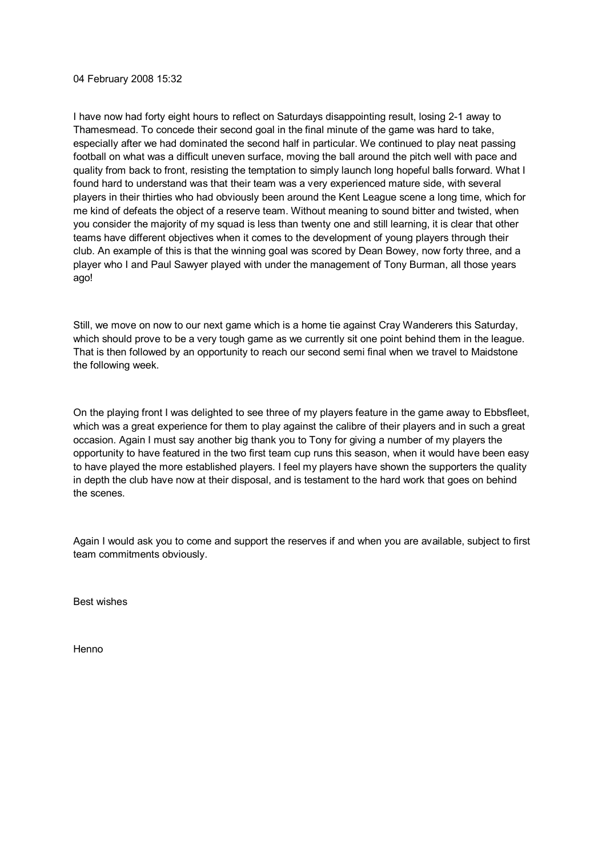#### 04 February 2008 15:32

I have now had forty eight hours to reflect on Saturdays disappointing result, losing 21 away to Thamesmead. To concede their second goal in the final minute of the game was hard to take, especially after we had dominated the second half in particular. We continued to play neat passing football on what was a difficult uneven surface, moving the ball around the pitch well with pace and quality from back to front, resisting the temptation to simply launch long hopeful balls forward. What I found hard to understand was that their team was a very experienced mature side, with several players in their thirties who had obviously been around the Kent League scene a long time, which for me kind of defeats the object of a reserve team. Without meaning to sound bitter and twisted, when you consider the majority of my squad is less than twenty one and still learning, it is clear that other teams have different objectives when it comes to the development of young players through their club. An example of this is that the winning goal was scored by Dean Bowey, now forty three, and a player who I and Paul Sawyer played with under the management of Tony Burman, all those years ago!

Still, we move on now to our next game which is a home tie against Cray Wanderers this Saturday, which should prove to be a very tough game as we currently sit one point behind them in the league. That is then followed by an opportunity to reach our second semi final when we travel to Maidstone the following week.

On the playing front I was delighted to see three of my players feature in the game away to Ebbsfleet, which was a great experience for them to play against the calibre of their players and in such a great occasion. Again I must say another big thank you to Tony for giving a number of my players the opportunity to have featured in the two first team cup runs this season, when it would have been easy to have played the more established players. I feel my players have shown the supporters the quality in depth the club have now at their disposal, and is testament to the hard work that goes on behind the scenes.

Again I would ask you to come and support the reserves if and when you are available, subject to first team commitments obviously.

Best wishes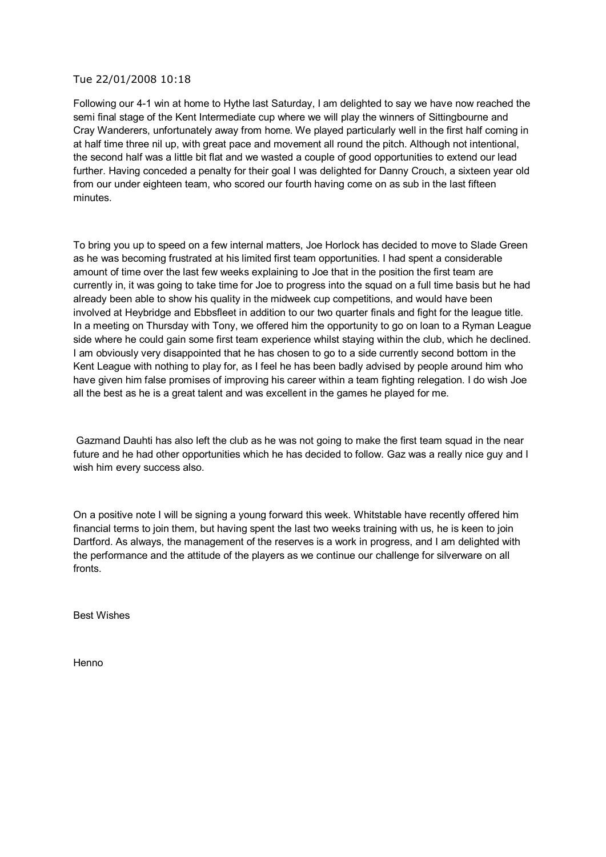#### Tue 22/01/2008 10:18

Following our 41 win at home to Hythe last Saturday, I am delighted to say we have now reached the semi final stage of the Kent Intermediate cup where we will play the winners of Sittingbourne and Cray Wanderers, unfortunately away from home. We played particularly well in the first half coming in at half time three nil up, with great pace and movement all round the pitch. Although not intentional, the second half was a little bit flat and we wasted a couple of good opportunities to extend our lead further. Having conceded a penalty for their goal I was delighted for Danny Crouch, a sixteen year old from our under eighteen team, who scored our fourth having come on as sub in the last fifteen minutes.

To bring you up to speed on a few internal matters, Joe Horlock has decided to move to Slade Green as he was becoming frustrated at his limited first team opportunities. I had spent a considerable amount of time over the last few weeks explaining to Joe that in the position the first team are currently in, it was going to take time for Joe to progress into the squad on a full time basis but he had already been able to show his quality in the midweek cup competitions, and would have been involved at Heybridge and Ebbsfleet in addition to our two quarter finals and fight for the league title. In a meeting on Thursday with Tony, we offered him the opportunity to go on loan to a Ryman League side where he could gain some first team experience whilst staying within the club, which he declined. I am obviously very disappointed that he has chosen to go to a side currently second bottom in the Kent League with nothing to play for, as I feel he has been badly advised by people around him who have given him false promises of improving his career within a team fighting relegation. I do wish Joe all the best as he is a great talent and was excellent in the games he played for me.

Gazmand Dauhti has also left the club as he was not going to make the first team squad in the near future and he had other opportunities which he has decided to follow. Gaz was a really nice guy and I wish him every success also.

On a positive note I will be signing a young forward this week. Whitstable have recently offered him financial terms to join them, but having spent the last two weeks training with us, he is keen to join Dartford. As always, the management of the reserves is a work in progress, and I am delighted with the performance and the attitude of the players as we continue our challenge for silverware on all fronts.

Best Wishes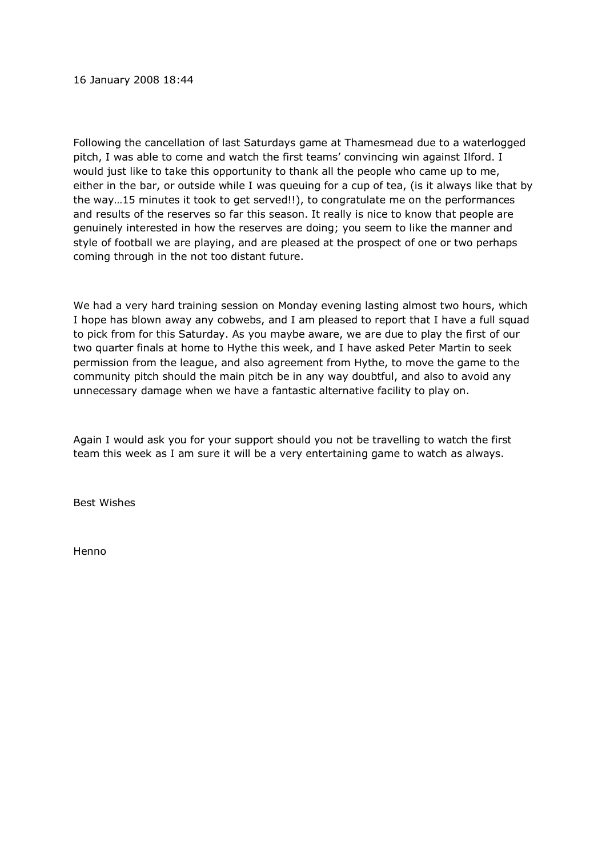16 January 2008 18:44

Following the cancellation of last Saturdays game at Thamesmead due to a waterlogged pitch, I was able to come and watch the first teams' convincing win against Ilford. I would just like to take this opportunity to thank all the people who came up to me, either in the bar, or outside while I was queuing for a cup of tea, (is it always like that by the way…15 minutes it took to get served!!), to congratulate me on the performances and results of the reserves so far this season. It really is nice to know that people are genuinely interested in how the reserves are doing; you seem to like the manner and style of football we are playing, and are pleased at the prospect of one or two perhaps coming through in the not too distant future.

We had a very hard training session on Monday evening lasting almost two hours, which I hope has blown away any cobwebs, and I am pleased to report that I have a full squad to pick from for this Saturday. As you maybe aware, we are due to play the first of our two quarter finals at home to Hythe this week, and I have asked Peter Martin to seek permission from the league, and also agreement from Hythe, to move the game to the community pitch should the main pitch be in any way doubtful, and also to avoid any unnecessary damage when we have a fantastic alternative facility to play on.

Again I would ask you for your support should you not be travelling to watch the first team this week as I am sure it will be a very entertaining game to watch as always.

Best Wishes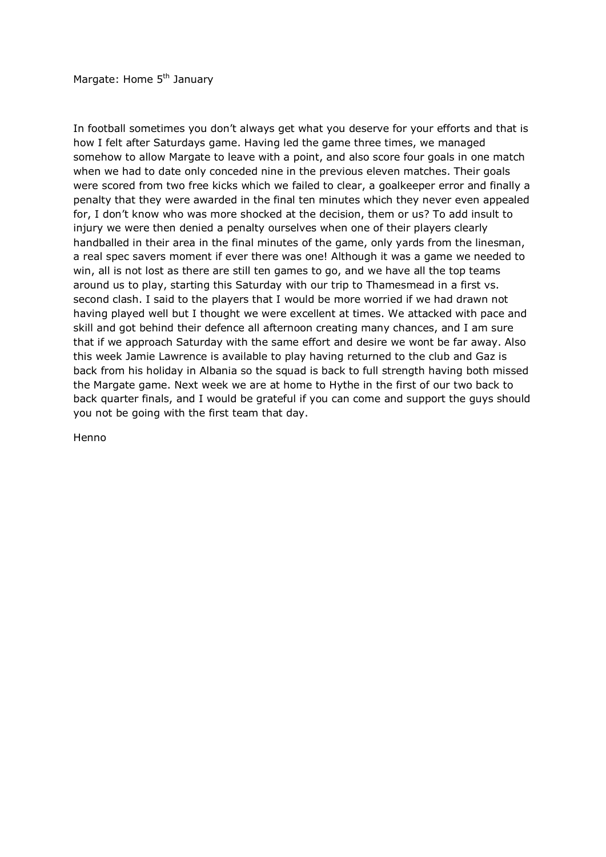Margate: Home 5<sup>th</sup> January

In football sometimes you don't always get what you deserve for your efforts and that is how I felt after Saturdays game. Having led the game three times, we managed somehow to allow Margate to leave with a point, and also score four goals in one match when we had to date only conceded nine in the previous eleven matches. Their goals were scored from two free kicks which we failed to clear, a goalkeeper error and finally a penalty that they were awarded in the final ten minutes which they never even appealed for, I don't know who was more shocked at the decision, them or us? To add insult to injury we were then denied a penalty ourselves when one of their players clearly handballed in their area in the final minutes of the game, only yards from the linesman, a real spec savers moment if ever there was one! Although it was a game we needed to win, all is not lost as there are still ten games to go, and we have all the top teams around us to play, starting this Saturday with our trip to Thamesmead in a first vs. second clash. I said to the players that I would be more worried if we had drawn not having played well but I thought we were excellent at times. We attacked with pace and skill and got behind their defence all afternoon creating many chances, and I am sure that if we approach Saturday with the same effort and desire we wont be far away. Also this week Jamie Lawrence is available to play having returned to the club and Gaz is back from his holiday in Albania so the squad is back to full strength having both missed the Margate game. Next week we are at home to Hythe in the first of our two back to back quarter finals, and I would be grateful if you can come and support the guys should you not be going with the first team that day.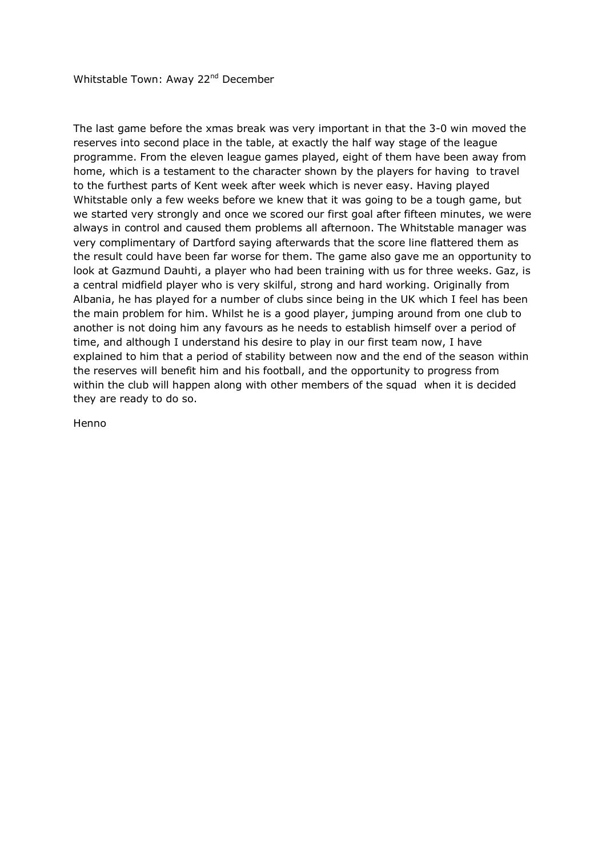The last game before the xmas break was very important in that the 3-0 win moved the reserves into second place in the table, at exactly the half way stage of the league programme. From the eleven league games played, eight of them have been away from home, which is a testament to the character shown by the players for having to travel to the furthest parts of Kent week after week which is never easy. Having played Whitstable only a few weeks before we knew that it was going to be a tough game, but we started very strongly and once we scored our first goal after fifteen minutes, we were always in control and caused them problems all afternoon. The Whitstable manager was very complimentary of Dartford saying afterwards that the score line flattered them as the result could have been far worse for them. The game also gave me an opportunity to look at Gazmund Dauhti, a player who had been training with us for three weeks. Gaz, is a central midfield player who is very skilful, strong and hard working. Originally from Albania, he has played for a number of clubs since being in the UK which I feel has been the main problem for him. Whilst he is a good player, jumping around from one club to another is not doing him any favours as he needs to establish himself over a period of time, and although I understand his desire to play in our first team now, I have explained to him that a period of stability between now and the end of the season within the reserves will benefit him and his football, and the opportunity to progress from within the club will happen along with other members of the squad when it is decided they are ready to do so.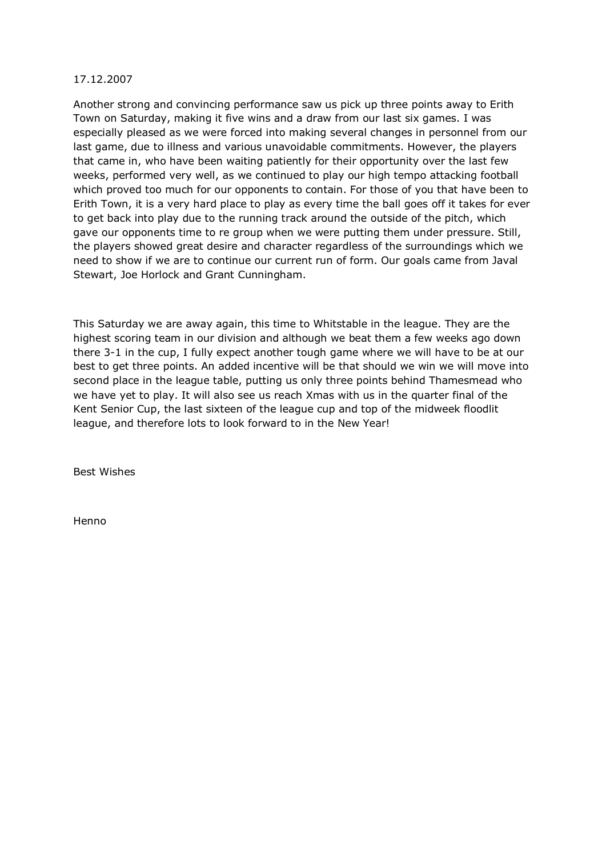# 17.12.2007

Another strong and convincing performance saw us pick up three points away to Erith Town on Saturday, making it five wins and a draw from our last six games. I was especially pleased as we were forced into making several changes in personnel from our last game, due to illness and various unavoidable commitments. However, the players that came in, who have been waiting patiently for their opportunity over the last few weeks, performed very well, as we continued to play our high tempo attacking football which proved too much for our opponents to contain. For those of you that have been to Erith Town, it is a very hard place to play as every time the ball goes off it takes for ever to get back into play due to the running track around the outside of the pitch, which gave our opponents time to re group when we were putting them under pressure. Still, the players showed great desire and character regardless of the surroundings which we need to show if we are to continue our current run of form. Our goals came from Javal Stewart, Joe Horlock and Grant Cunningham.

This Saturday we are away again, this time to Whitstable in the league. They are the highest scoring team in our division and although we beat them a few weeks ago down there 3-1 in the cup, I fully expect another tough game where we will have to be at our best to get three points. An added incentive will be that should we win we will move into second place in the league table, putting us only three points behind Thamesmead who we have yet to play. It will also see us reach Xmas with us in the quarter final of the Kent Senior Cup, the last sixteen of the league cup and top of the midweek floodlit league, and therefore lots to look forward to in the New Year!

Best Wishes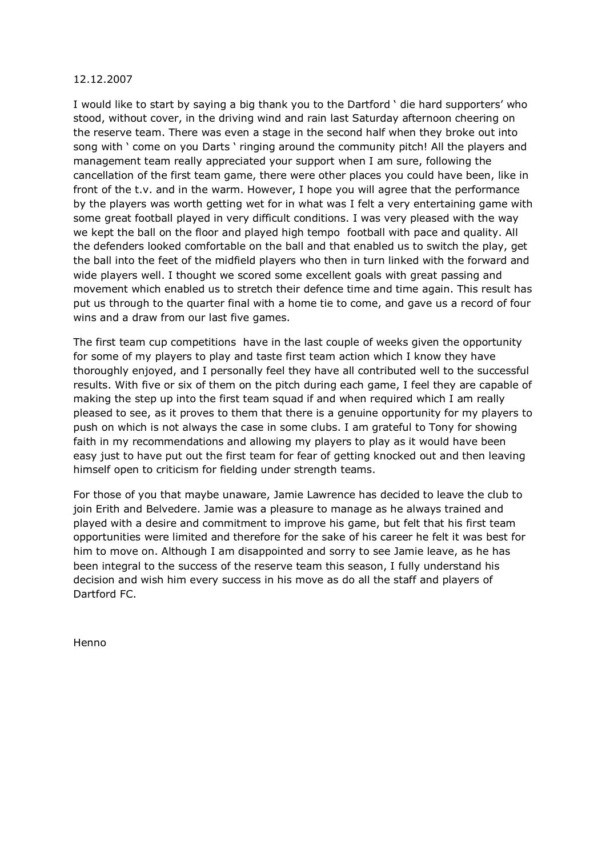# 12.12.2007

I would like to start by saying a big thank you to the Dartford ' die hard supporters' who stood, without cover, in the driving wind and rain last Saturday afternoon cheering on the reserve team. There was even a stage in the second half when they broke out into song with ' come on you Darts ' ringing around the community pitch! All the players and management team really appreciated your support when I am sure, following the cancellation of the first team game, there were other places you could have been, like in front of the t.v. and in the warm. However, I hope you will agree that the performance by the players was worth getting wet for in what was I felt a very entertaining game with some great football played in very difficult conditions. I was very pleased with the way we kept the ball on the floor and played high tempo football with pace and quality. All the defenders looked comfortable on the ball and that enabled us to switch the play, get the ball into the feet of the midfield players who then in turn linked with the forward and wide players well. I thought we scored some excellent goals with great passing and movement which enabled us to stretch their defence time and time again. This result has put us through to the quarter final with a home tie to come, and gave us a record of four wins and a draw from our last five games.

The first team cup competitions have in the last couple of weeks given the opportunity for some of my players to play and taste first team action which I know they have thoroughly enjoyed, and I personally feel they have all contributed well to the successful results. With five or six of them on the pitch during each game, I feel they are capable of making the step up into the first team squad if and when required which I am really pleased to see, as it proves to them that there is a genuine opportunity for my players to push on which is not always the case in some clubs. I am grateful to Tony for showing faith in my recommendations and allowing my players to play as it would have been easy just to have put out the first team for fear of getting knocked out and then leaving himself open to criticism for fielding under strength teams.

For those of you that maybe unaware, Jamie Lawrence has decided to leave the club to join Erith and Belvedere. Jamie was a pleasure to manage as he always trained and played with a desire and commitment to improve his game, but felt that his first team opportunities were limited and therefore for the sake of his career he felt it was best for him to move on. Although I am disappointed and sorry to see Jamie leave, as he has been integral to the success of the reserve team this season, I fully understand his decision and wish him every success in his move as do all the staff and players of Dartford FC.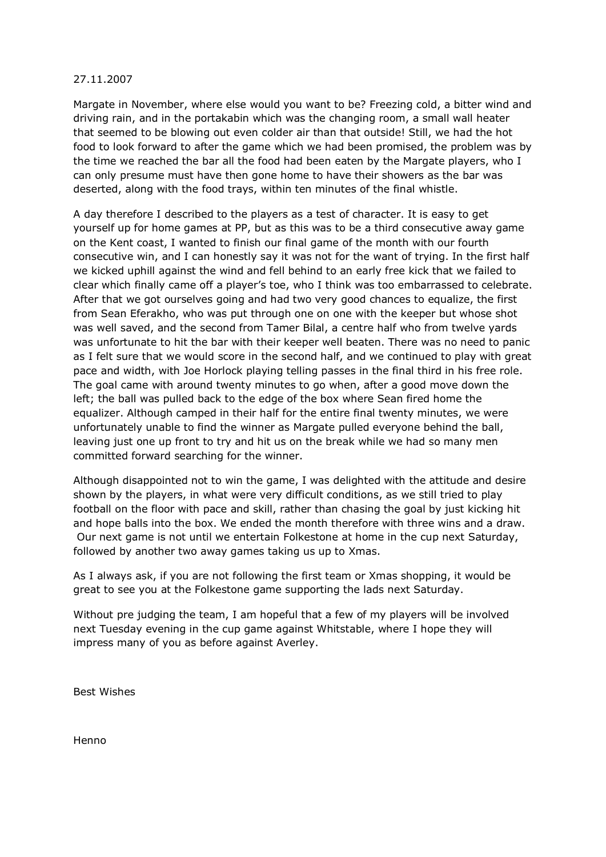Margate in November, where else would you want to be? Freezing cold, a bitter wind and driving rain, and in the portakabin which was the changing room, a small wall heater that seemed to be blowing out even colder air than that outside! Still, we had the hot food to look forward to after the game which we had been promised, the problem was by the time we reached the bar all the food had been eaten by the Margate players, who I can only presume must have then gone home to have their showers as the bar was deserted, along with the food trays, within ten minutes of the final whistle.

A day therefore I described to the players as a test of character. It is easy to get yourself up for home games at PP, but as this was to be a third consecutive away game on the Kent coast, I wanted to finish our final game of the month with our fourth consecutive win, and I can honestly say it was not for the want of trying. In the first half we kicked uphill against the wind and fell behind to an early free kick that we failed to clear which finally came off a player's toe, who I think was too embarrassed to celebrate. After that we got ourselves going and had two very good chances to equalize, the first from Sean Eferakho, who was put through one on one with the keeper but whose shot was well saved, and the second from Tamer Bilal, a centre half who from twelve yards was unfortunate to hit the bar with their keeper well beaten. There was no need to panic as I felt sure that we would score in the second half, and we continued to play with great pace and width, with Joe Horlock playing telling passes in the final third in his free role. The goal came with around twenty minutes to go when, after a good move down the left; the ball was pulled back to the edge of the box where Sean fired home the equalizer. Although camped in their half for the entire final twenty minutes, we were unfortunately unable to find the winner as Margate pulled everyone behind the ball, leaving just one up front to try and hit us on the break while we had so many men committed forward searching for the winner.

Although disappointed not to win the game, I was delighted with the attitude and desire shown by the players, in what were very difficult conditions, as we still tried to play football on the floor with pace and skill, rather than chasing the goal by just kicking hit and hope balls into the box. We ended the month therefore with three wins and a draw. Our next game is not until we entertain Folkestone at home in the cup next Saturday, followed by another two away games taking us up to Xmas.

As I always ask, if you are not following the first team or Xmas shopping, it would be great to see you at the Folkestone game supporting the lads next Saturday.

Without pre judging the team, I am hopeful that a few of my players will be involved next Tuesday evening in the cup game against Whitstable, where I hope they will impress many of you as before against Averley.

Best Wishes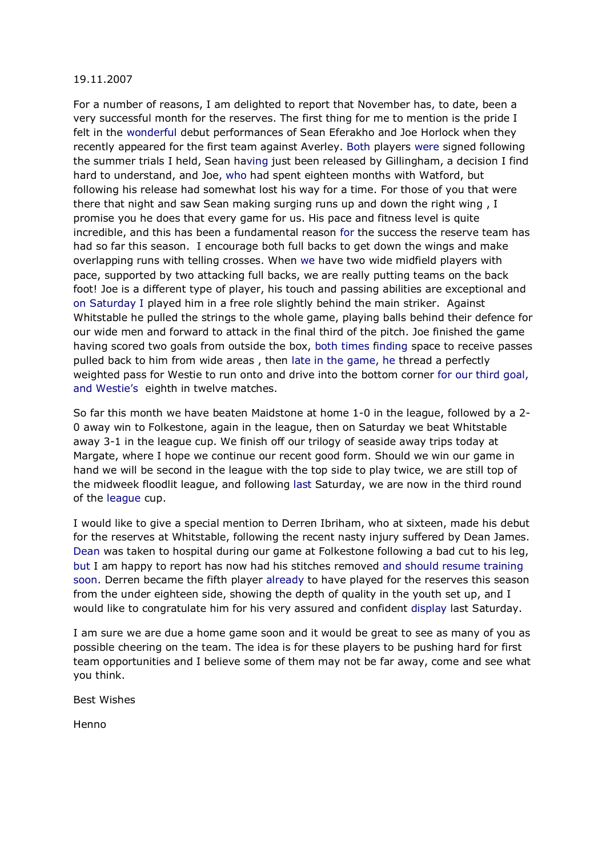For a number of reasons, I am delighted to report that November has, to date, been a very successful month for the reserves. The first thing for me to mention is the pride I felt in the wonderful debut performances of Sean Eferakho and Joe Horlock when they recently appeared for the first team against Averley. Both players were signed following the summer trials I held, Sean having just been released by Gillingham, a decision I find hard to understand, and Joe, who had spent eighteen months with Watford, but following his release had somewhat lost his way for a time. For those of you that were there that night and saw Sean making surging runs up and down the right wing , I promise you he does that every game for us. His pace and fitness level is quite incredible, and this has been a fundamental reason for the success the reserve team has had so far this season. I encourage both full backs to get down the wings and make overlapping runs with telling crosses. When we have two wide midfield players with pace, supported by two attacking full backs, we are really putting teams on the back foot! Joe is a different type of player, his touch and passing abilities are exceptional and on Saturday I played him in a free role slightly behind the main striker. Against Whitstable he pulled the strings to the whole game, playing balls behind their defence for our wide men and forward to attack in the final third of the pitch. Joe finished the game having scored two goals from outside the box, both times finding space to receive passes pulled back to him from wide areas , then late in the game, he thread a perfectly weighted pass for Westie to run onto and drive into the bottom corner for our third goal, and Westie's eighth in twelve matches.

So far this month we have beaten Maidstone at home  $1-0$  in the league, followed by a  $2-$ 0 away win to Folkestone, again in the league, then on Saturday we beat Whitstable away 3-1 in the league cup. We finish off our trilogy of seaside away trips today at Margate, where I hope we continue our recent good form. Should we win our game in hand we will be second in the league with the top side to play twice, we are still top of the midweek floodlit league, and following last Saturday, we are now in the third round of the league cup.

I would like to give a special mention to Derren Ibriham, who at sixteen, made his debut for the reserves at Whitstable, following the recent nasty injury suffered by Dean James. Dean was taken to hospital during our game at Folkestone following a bad cut to his leg, but I am happy to report has now had his stitches removed and should resume training soon. Derren became the fifth player already to have played for the reserves this season from the under eighteen side, showing the depth of quality in the youth set up, and I would like to congratulate him for his very assured and confident display last Saturday.

I am sure we are due a home game soon and it would be great to see as many of you as possible cheering on the team. The idea is for these players to be pushing hard for first team opportunities and I believe some of them may not be far away, come and see what you think.

Best Wishes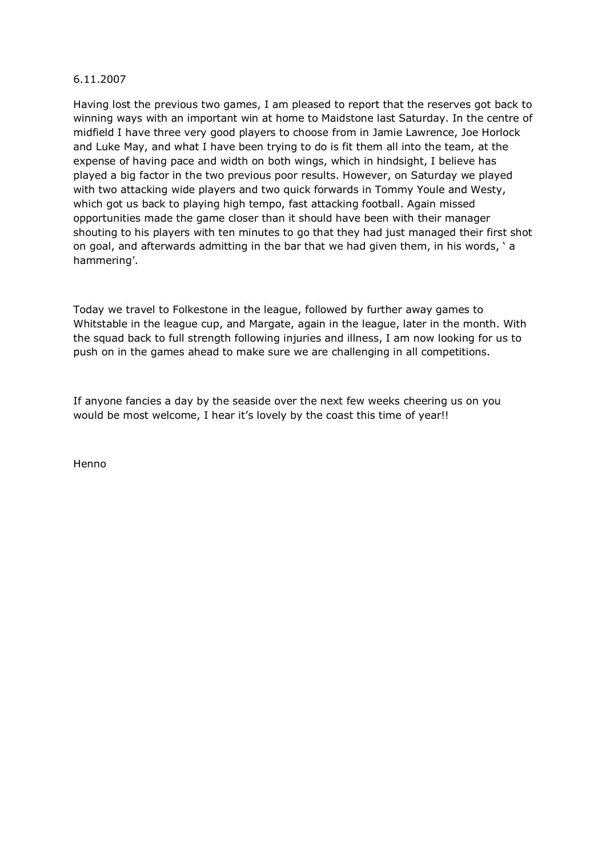Having lost the previous two games, I am pleased to report that the reserves got back to winning ways with an important win at home to Maidstone last Saturday. In the centre of midfield I have three very good players to choose from in Jamie Lawrence, Joe Horlock and Luke May, and what I have been trying to do is fit them all into the team, at the expense of having pace and width on both wings, which in hindsight, I believe has played a big factor in the two previous poor results. However, on Saturday we played with two attacking wide players and two quick forwards in Tommy Youle and Westy, which got us back to playing high tempo, fast attacking football. Again missed opportunities made the game closer than it should have been with their manager shouting to his players with ten minutes to go that they had just managed their first shot on goal, and afterwards admitting in the bar that we had given them, in his words, ' a hammering'.

Today we travel to Folkestone in the league, followed by further away games to Whitstable in the league cup, and Margate, again in the league, later in the month. With the squad back to full strength following injuries and illness, I am now looking for us to push on in the games ahead to make sure we are challenging in all competitions.

If anyone fancies a day by the seaside over the next few weeks cheering us on you would be most welcome, I hear it's lovely by the coast this time of year!!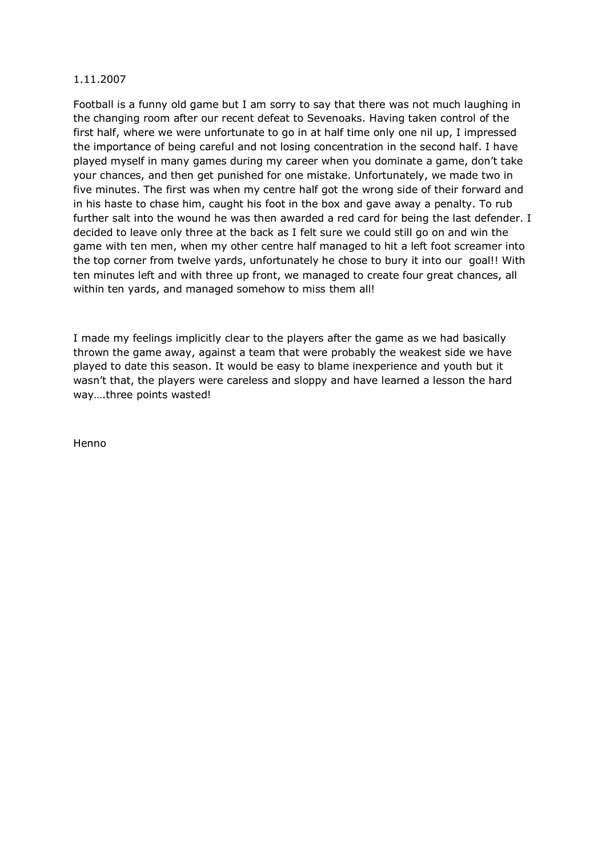Football is a funny old game but I am sorry to say that there was not much laughing in the changing room after our recent defeat to Sevenoaks. Having taken control of the first half, where we were unfortunate to go in at half time only one nil up, I impressed the importance of being careful and not losing concentration in the second half. I have played myself in many games during my career when you dominate a game, don't take your chances, and then get punished for one mistake. Unfortunately, we made two in five minutes. The first was when my centre half got the wrong side of their forward and in his haste to chase him, caught his foot in the box and gave away a penalty. To rub further salt into the wound he was then awarded a red card for being the last defender. I decided to leave only three at the back as I felt sure we could still go on and win the game with ten men, when my other centre half managed to hit a left foot screamer into the top corner from twelve yards, unfortunately he chose to bury it into our goal!! With ten minutes left and with three up front, we managed to create four great chances, all within ten yards, and managed somehow to miss them all!

I made my feelings implicitly clear to the players after the game as we had basically thrown the game away, against a team that were probably the weakest side we have played to date this season. It would be easy to blame inexperience and youth but it wasn't that, the players were careless and sloppy and have learned a lesson the hard way….three points wasted!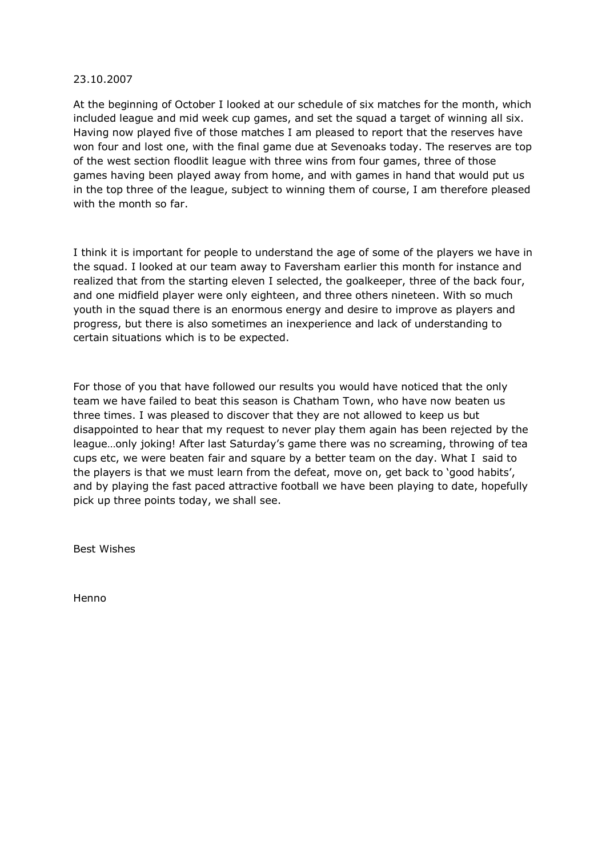# 23.10.2007

At the beginning of October I looked at our schedule of six matches for the month, which included league and mid week cup games, and set the squad a target of winning all six. Having now played five of those matches I am pleased to report that the reserves have won four and lost one, with the final game due at Sevenoaks today. The reserves are top of the west section floodlit league with three wins from four games, three of those games having been played away from home, and with games in hand that would put us in the top three of the league, subject to winning them of course, I am therefore pleased with the month so far.

I think it is important for people to understand the age of some of the players we have in the squad. I looked at our team away to Faversham earlier this month for instance and realized that from the starting eleven I selected, the goalkeeper, three of the back four, and one midfield player were only eighteen, and three others nineteen. With so much youth in the squad there is an enormous energy and desire to improve as players and progress, but there is also sometimes an inexperience and lack of understanding to certain situations which is to be expected.

For those of you that have followed our results you would have noticed that the only team we have failed to beat this season is Chatham Town, who have now beaten us three times. I was pleased to discover that they are not allowed to keep us but disappointed to hear that my request to never play them again has been rejected by the league…only joking! After last Saturday's game there was no screaming, throwing of tea cups etc, we were beaten fair and square by a better team on the day. What I said to the players is that we must learn from the defeat, move on, get back to 'good habits', and by playing the fast paced attractive football we have been playing to date, hopefully pick up three points today, we shall see.

Best Wishes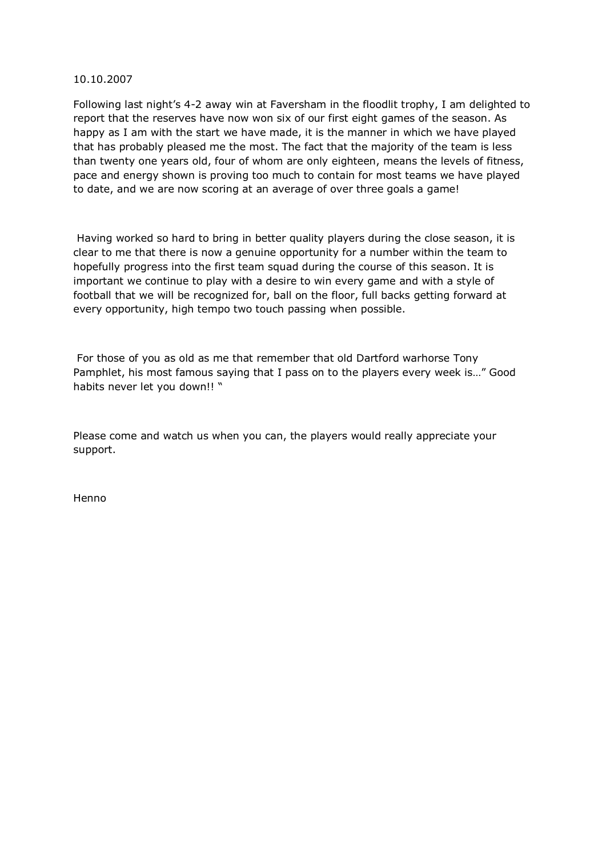## 10.10.2007

Following last night's 42 away win at Faversham in the floodlit trophy, I am delighted to report that the reserves have now won six of our first eight games of the season. As happy as I am with the start we have made, it is the manner in which we have played that has probably pleased me the most. The fact that the majority of the team is less than twenty one years old, four of whom are only eighteen, means the levels of fitness, pace and energy shown is proving too much to contain for most teams we have played to date, and we are now scoring at an average of over three goals a game!

Having worked so hard to bring in better quality players during the close season, it is clear to me that there is now a genuine opportunity for a number within the team to hopefully progress into the first team squad during the course of this season. It is important we continue to play with a desire to win every game and with a style of football that we will be recognized for, ball on the floor, full backs getting forward at every opportunity, high tempo two touch passing when possible.

For those of you as old as me that remember that old Dartford warhorse Tony Pamphlet, his most famous saying that I pass on to the players every week is…" Good habits never let you down!! "

Please come and watch us when you can, the players would really appreciate your support.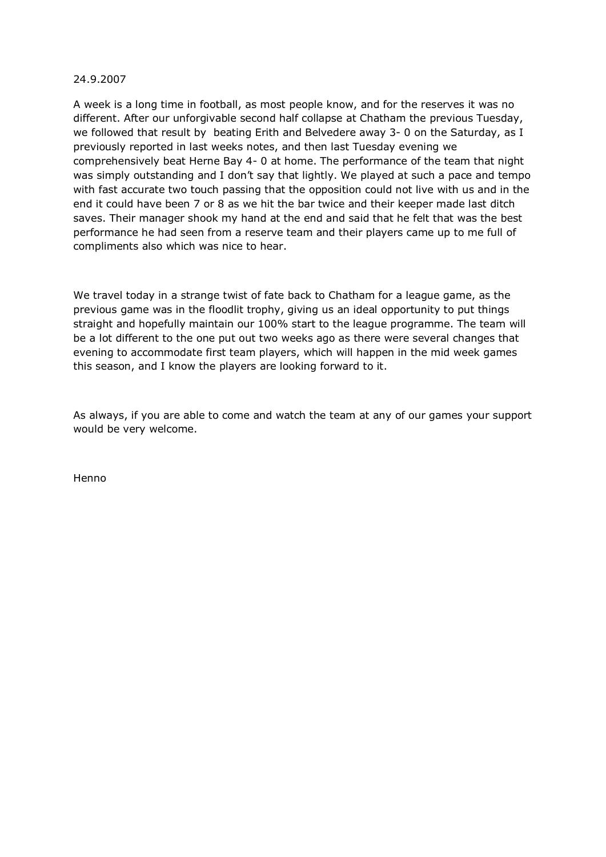# 24.9.2007

A week is a long time in football, as most people know, and for the reserves it was no different. After our unforgivable second half collapse at Chatham the previous Tuesday, we followed that result by beating Erith and Belvedere away 3- 0 on the Saturday, as I previously reported in last weeks notes, and then last Tuesday evening we comprehensively beat Herne Bay 4-0 at home. The performance of the team that night was simply outstanding and I don't say that lightly. We played at such a pace and tempo with fast accurate two touch passing that the opposition could not live with us and in the end it could have been 7 or 8 as we hit the bar twice and their keeper made last ditch saves. Their manager shook my hand at the end and said that he felt that was the best performance he had seen from a reserve team and their players came up to me full of compliments also which was nice to hear.

We travel today in a strange twist of fate back to Chatham for a league game, as the previous game was in the floodlit trophy, giving us an ideal opportunity to put things straight and hopefully maintain our 100% start to the league programme. The team will be a lot different to the one put out two weeks ago as there were several changes that evening to accommodate first team players, which will happen in the mid week games this season, and I know the players are looking forward to it.

As always, if you are able to come and watch the team at any of our games your support would be very welcome.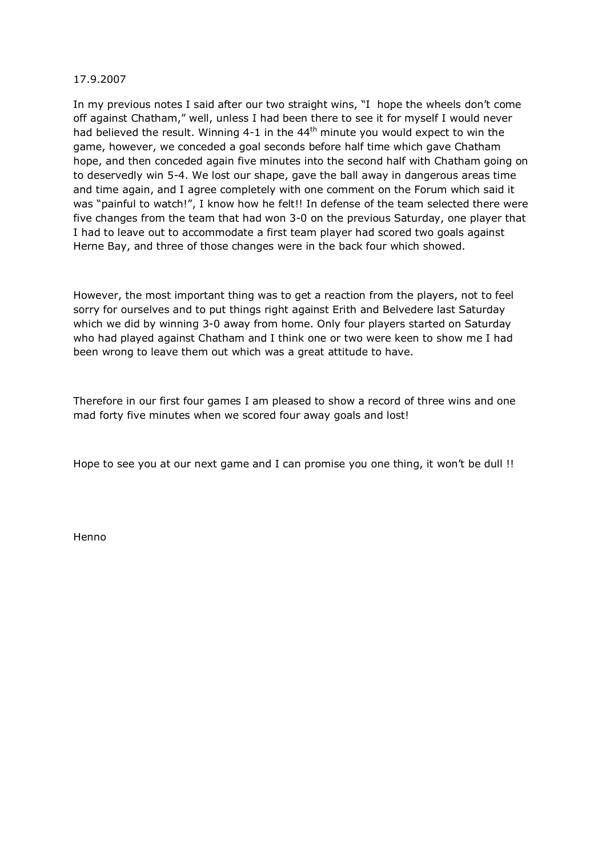# 17.9.2007

In my previous notes I said after our two straight wins, "I hope the wheels don't come off against Chatham," well, unless I had been there to see it for myself I would never had believed the result. Winning 4-1 in the  $44<sup>th</sup>$  minute you would expect to win the game, however, we conceded a goal seconds before half time which gave Chatham hope, and then conceded again five minutes into the second half with Chatham going on to deservedly win 5-4. We lost our shape, gave the ball away in dangerous areas time and time again, and I agree completely with one comment on the Forum which said it was "painful to watch!", I know how he felt!! In defense of the team selected there were five changes from the team that had won 3-0 on the previous Saturday, one player that I had to leave out to accommodate a first team player had scored two goals against Herne Bay, and three of those changes were in the back four which showed.

However, the most important thing was to get a reaction from the players, not to feel sorry for ourselves and to put things right against Erith and Belvedere last Saturday which we did by winning 3-0 away from home. Only four players started on Saturday who had played against Chatham and I think one or two were keen to show me I had been wrong to leave them out which was a great attitude to have.

Therefore in our first four games I am pleased to show a record of three wins and one mad forty five minutes when we scored four away goals and lost!

Hope to see you at our next game and I can promise you one thing, it won't be dull !!